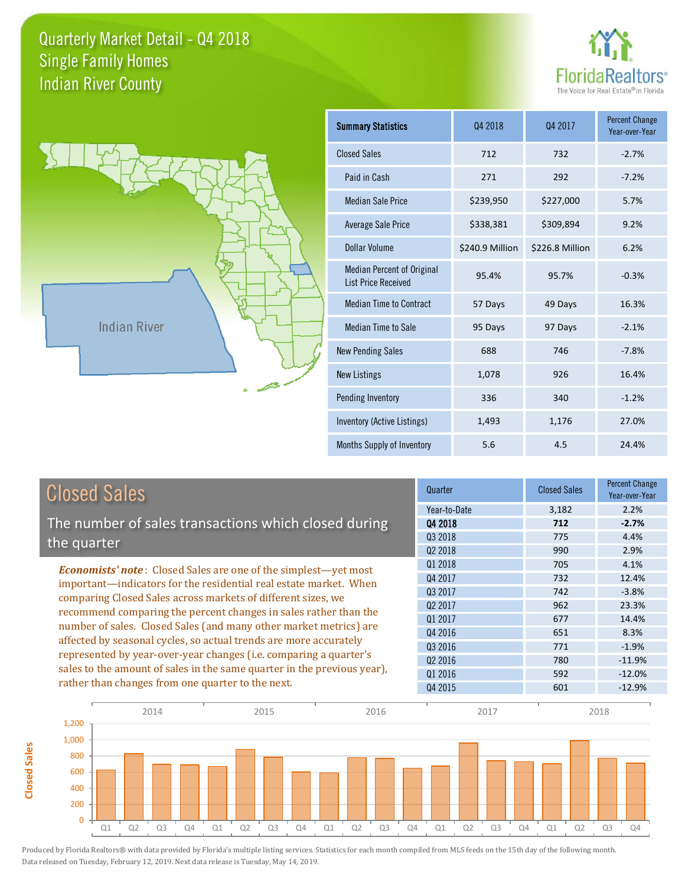



**Closed Sales**

**Closed Sales** 

| <b>Summary Statistics</b>                                       | 04 2018         | Q4 2017         | <b>Percent Change</b><br>Year-over-Year |
|-----------------------------------------------------------------|-----------------|-----------------|-----------------------------------------|
| <b>Closed Sales</b>                                             | 712             | 732             | $-2.7%$                                 |
| Paid in Cash                                                    | 271             | 292             | $-7.2%$                                 |
| <b>Median Sale Price</b>                                        | \$239,950       | \$227,000       | 5.7%                                    |
| Average Sale Price                                              | \$338,381       | \$309,894       | 9.2%                                    |
| Dollar Volume                                                   | \$240.9 Million | \$226.8 Million | 6.2%                                    |
| <b>Median Percent of Original</b><br><b>List Price Received</b> | 95.4%           | 95.7%           | $-0.3%$                                 |
| <b>Median Time to Contract</b>                                  | 57 Days         | 49 Days         | 16.3%                                   |
| Median Time to Sale                                             | 95 Days         | 97 Days         | $-2.1%$                                 |
| <b>New Pending Sales</b>                                        | 688             | 746             | $-7.8%$                                 |
| <b>New Listings</b>                                             | 1,078           | 926             | 16.4%                                   |
| Pending Inventory                                               | 336             | 340             | $-1.2%$                                 |
| Inventory (Active Listings)                                     | 1,493           | 1,176           | 27.0%                                   |
| Months Supply of Inventory                                      | 5.6             | 4.5             | 24.4%                                   |

| Year-to-Date<br>2.2%<br>3,182<br>The number of sales transactions which closed during<br>$-2.7%$<br>04 2018<br>712<br>Q3 2018<br>4.4%<br>775<br>the quarter |  |
|-------------------------------------------------------------------------------------------------------------------------------------------------------------|--|
|                                                                                                                                                             |  |
|                                                                                                                                                             |  |
|                                                                                                                                                             |  |
| Q <sub>2</sub> 2018<br>2.9%<br>990                                                                                                                          |  |
| 01 2018<br>705<br>4.1%<br><b>Economists' note:</b> Closed Sales are one of the simplest—yet most                                                            |  |
| Q4 2017<br>732<br>12.4%<br>important—indicators for the residential real estate market. When                                                                |  |
| 742<br>$-3.8%$<br>Q3 2017<br>comparing Closed Sales across markets of different sizes, we                                                                   |  |
| Q <sub>2</sub> 2017<br>962<br>23.3%<br>recommend comparing the percent changes in sales rather than the                                                     |  |
| 01 2017<br>677<br>14.4%                                                                                                                                     |  |
| number of sales. Closed Sales (and many other market metrics) are<br>Q4 2016<br>8.3%<br>651                                                                 |  |
| affected by seasonal cycles, so actual trends are more accurately<br>Q3 2016<br>771<br>$-1.9%$                                                              |  |
| represented by year-over-year changes (i.e. comparing a quarter's<br>Q <sub>2</sub> 2016<br>$-11.9%$<br>780                                                 |  |
| sales to the amount of sales in the same quarter in the previous year),<br>$-12.0%$<br>01 2016<br>592                                                       |  |
| rather than changes from one quarter to the next.<br>Q4 2015<br>$-12.9%$<br>601                                                                             |  |

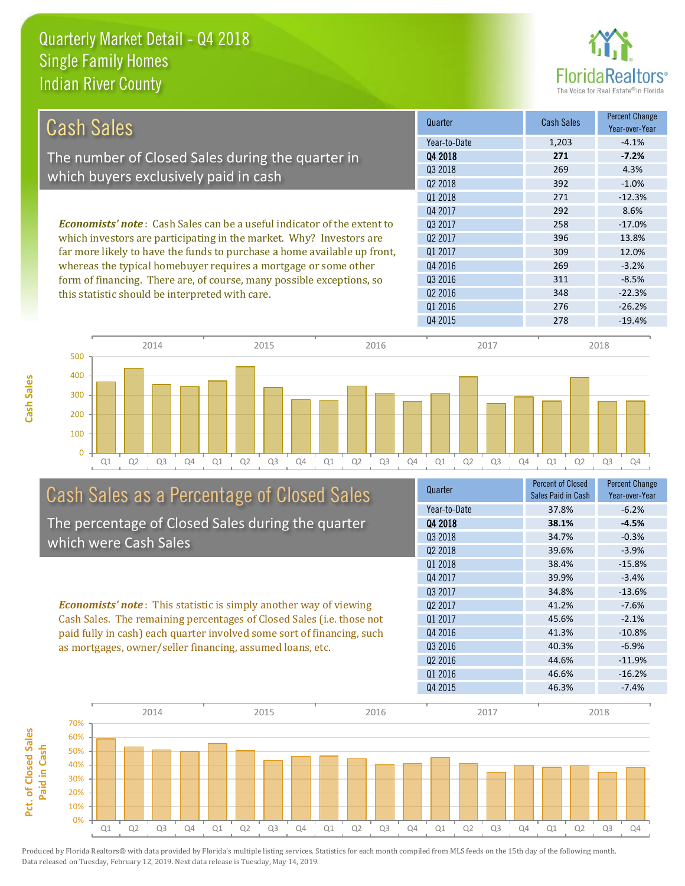

| <b>Cash Sales</b>                                                              | Quarter             | <b>Cash Sales</b> | Percent Change<br>Year-over-Year |
|--------------------------------------------------------------------------------|---------------------|-------------------|----------------------------------|
|                                                                                | Year-to-Date        | 1,203             | $-4.1%$                          |
| The number of Closed Sales during the quarter in                               | 04 2018             | 271               | $-7.2%$                          |
| which buyers exclusively paid in cash                                          | Q3 2018             | 269               | 4.3%                             |
|                                                                                | Q <sub>2</sub> 2018 | 392               | $-1.0%$                          |
|                                                                                | Q1 2018             | 271               | $-12.3%$                         |
|                                                                                | Q4 2017             | 292               | 8.6%                             |
| <b>Economists' note:</b> Cash Sales can be a useful indicator of the extent to | Q3 2017             | 258               | $-17.0%$                         |
| which investors are participating in the market. Why? Investors are            | Q <sub>2</sub> 2017 | 396               | 13.8%                            |
| far more likely to have the funds to purchase a home available up front,       | 01 2017             | 309               | 12.0%                            |
| whereas the typical homebuyer requires a mortgage or some other                | Q4 2016             | 269               | $-3.2%$                          |
| form of financing. There are, of course, many possible exceptions, so          | Q3 2016             | 311               | $-8.5%$                          |
| this statistic should be interpreted with care.                                | Q <sub>2</sub> 2016 | 348               | $-22.3%$                         |
|                                                                                | 01 2016             | 276               | $-26.2%$                         |
|                                                                                | Q4 2015             | 278               | $-19.4%$                         |



# Cash Sales as a Percentage of Closed Sales

The percentage of Closed Sales during the quarter which were Cash Sales

*Economists' note* : This statistic is simply another way of viewing Cash Sales. The remaining percentages of Closed Sales (i.e. those not paid fully in cash) each quarter involved some sort of financing, such as mortgages, owner/seller financing, assumed loans, etc.



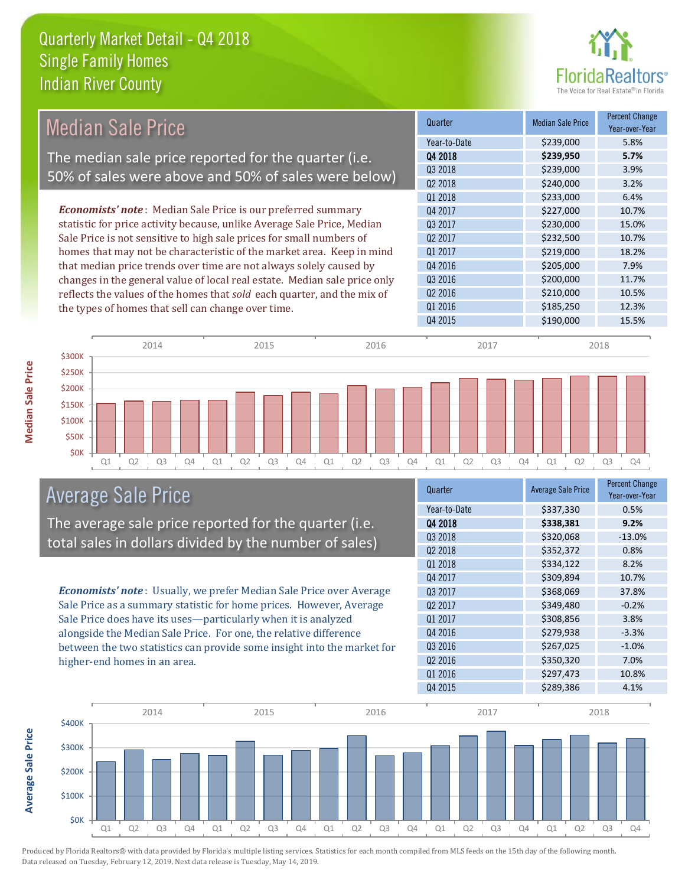

|                                                                                                                                                                                                                                                                                                | <b>Median Sale Price</b>                           |                                                                           |           | Quarter             | <b>Median Sale Price</b> | <b>Percent Change</b><br>Year-over-Year |
|------------------------------------------------------------------------------------------------------------------------------------------------------------------------------------------------------------------------------------------------------------------------------------------------|----------------------------------------------------|---------------------------------------------------------------------------|-----------|---------------------|--------------------------|-----------------------------------------|
|                                                                                                                                                                                                                                                                                                |                                                    |                                                                           |           | Year-to-Date        | \$239,000                | 5.8%                                    |
|                                                                                                                                                                                                                                                                                                |                                                    | The median sale price reported for the quarter (i.e.                      |           | 04 2018             | \$239,950                | 5.7%                                    |
|                                                                                                                                                                                                                                                                                                |                                                    | 50% of sales were above and 50% of sales were below)                      |           | Q3 2018             | \$239,000                | 3.9%                                    |
|                                                                                                                                                                                                                                                                                                |                                                    |                                                                           |           | Q <sub>2</sub> 2018 | \$240,000                | 3.2%                                    |
|                                                                                                                                                                                                                                                                                                |                                                    |                                                                           |           | Q1 2018             | \$233,000                | 6.4%                                    |
|                                                                                                                                                                                                                                                                                                |                                                    | <b>Economists' note</b> : Median Sale Price is our preferred summary      |           | Q4 2017             | \$227,000                | 10.7%                                   |
| statistic for price activity because, unlike Average Sale Price, Median<br>Sale Price is not sensitive to high sale prices for small numbers of<br>homes that may not be characteristic of the market area. Keep in mind<br>that median price trends over time are not always solely caused by |                                                    | Q3 2017                                                                   | \$230,000 | 15.0%               |                          |                                         |
|                                                                                                                                                                                                                                                                                                |                                                    | Q <sub>2</sub> 2017                                                       | \$232,500 | 10.7%               |                          |                                         |
|                                                                                                                                                                                                                                                                                                |                                                    | Q1 2017                                                                   | \$219,000 | 18.2%               |                          |                                         |
|                                                                                                                                                                                                                                                                                                |                                                    | Q4 2016                                                                   | \$205,000 | 7.9%                |                          |                                         |
|                                                                                                                                                                                                                                                                                                |                                                    | changes in the general value of local real estate. Median sale price only |           | Q <sub>3</sub> 2016 | \$200,000                | 11.7%                                   |
|                                                                                                                                                                                                                                                                                                |                                                    | reflects the values of the homes that sold each quarter, and the mix of   |           | Q <sub>2</sub> 2016 | \$210,000                | 10.5%                                   |
|                                                                                                                                                                                                                                                                                                | the types of homes that sell can change over time. |                                                                           |           | Q1 2016             | \$185,250                | 12.3%                                   |
|                                                                                                                                                                                                                                                                                                |                                                    |                                                                           |           | Q4 2015             | \$190,000                | 15.5%                                   |
|                                                                                                                                                                                                                                                                                                | 2014                                               | 2015                                                                      | 2016      | 2017                |                          | 2018                                    |
| \$300K                                                                                                                                                                                                                                                                                         |                                                    |                                                                           |           |                     |                          |                                         |
| \$250K                                                                                                                                                                                                                                                                                         |                                                    |                                                                           |           |                     |                          |                                         |



**Average Sale Price**

**Average Sale Price** 



# Average Sale Price

The average sale price reported for the quarter (i.e. total sales in dollars divided by the number of sales)

*Economists' note* : Usually, we prefer Median Sale Price over Average Sale Price as a summary statistic for home prices. However, Average Sale Price does have its uses—particularly when it is analyzed alongside the Median Sale Price. For one, the relative difference between the two statistics can provide some insight into the market for higher-end homes in an area.

| Quarter             | <b>Average Sale Price</b> | <b>Percent Change</b><br>Year-over-Year |
|---------------------|---------------------------|-----------------------------------------|
| Year-to-Date        | \$337,330                 | 0.5%                                    |
| Q4 2018             | \$338,381                 | 9.2%                                    |
| 03 2018             | \$320,068                 | $-13.0%$                                |
| Q <sub>2</sub> 2018 | \$352,372                 | 0.8%                                    |
| Q1 2018             | \$334,122                 | 8.2%                                    |
| Q4 2017             | \$309,894                 | 10.7%                                   |
| Q3 2017             | \$368,069                 | 37.8%                                   |
| 02 2017             | \$349,480                 | $-0.2%$                                 |
| Q1 2017             | \$308,856                 | 3.8%                                    |
| Q4 2016             | \$279,938                 | $-3.3%$                                 |
| Q3 2016             | \$267,025                 | $-1.0%$                                 |
| Q <sub>2</sub> 2016 | \$350,320                 | 7.0%                                    |
| Q1 2016             | \$297,473                 | 10.8%                                   |
| Q4 2015             | \$289,386                 | 4.1%                                    |

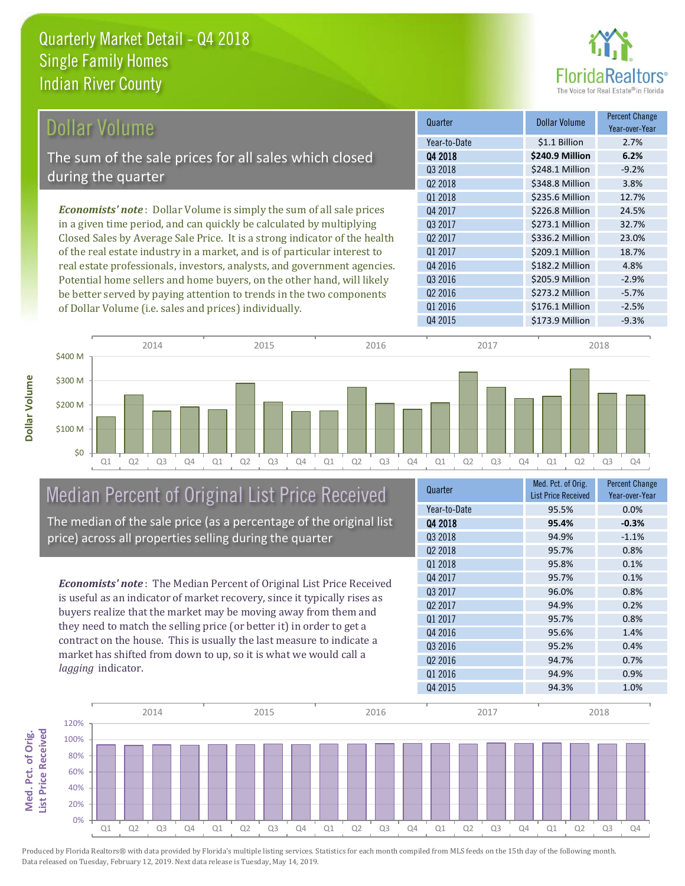

| Dollar Volume                                                               | Quarter             | <b>Dollar Volume</b> | <b>Percent Change</b><br>Year-over-Year |
|-----------------------------------------------------------------------------|---------------------|----------------------|-----------------------------------------|
|                                                                             | Year-to-Date        | \$1.1 Billion        | 2.7%                                    |
| The sum of the sale prices for all sales which closed                       | 04 2018             | \$240.9 Million      | 6.2%                                    |
| during the quarter                                                          | Q3 2018             | \$248.1 Million      | $-9.2%$                                 |
|                                                                             | Q <sub>2</sub> 2018 | \$348.8 Million      | 3.8%                                    |
|                                                                             | Q1 2018             | \$235.6 Million      | 12.7%                                   |
| <b>Economists' note:</b> Dollar Volume is simply the sum of all sale prices | Q4 2017             | \$226.8 Million      | 24.5%                                   |
| in a given time period, and can quickly be calculated by multiplying        | Q3 2017             | \$273.1 Million      | 32.7%                                   |
| Closed Sales by Average Sale Price. It is a strong indicator of the health  | Q <sub>2</sub> 2017 | \$336.2 Million      | 23.0%                                   |
| of the real estate industry in a market, and is of particular interest to   | Q1 2017             | \$209.1 Million      | 18.7%                                   |
| real estate professionals, investors, analysts, and government agencies.    | Q4 2016             | \$182.2 Million      | 4.8%                                    |
| Potential home sellers and home buyers, on the other hand, will likely      | Q3 2016             | \$205.9 Million      | $-2.9%$                                 |
| be better served by paying attention to trends in the two components        | 02 2016             | \$273.2 Million      | $-5.7%$                                 |

Q4 2015 **\$173.9 Million** -9.3% Q1 Q2 Q3 Q4 Q1 Q2 Q3 Q4 Q1 Q2 Q3 Q4 Q1 Q2 Q3 Q4 Q1 Q2 Q3 Q4 \$0 \$100 M \$200 M \$300 M \$400 M 2014 2015 2016 2017 2018

### Median Percent of Original List Price Received The median of the sale price (as a percentage of the original list price) across all properties selling during the quarter

of Dollar Volume (i.e. sales and prices) individually.

*Economists' note* : The Median Percent of Original List Price Received is useful as an indicator of market recovery, since it typically rises as buyers realize that the market may be moving away from them and they need to match the selling price (or better it) in order to get a contract on the house. This is usually the last measure to indicate a market has shifted from down to up, so it is what we would call a *lagging* indicator.

| Quarter             | Med. Pct. of Orig.<br><b>List Price Received</b> | <b>Percent Change</b><br>Year-over-Year |
|---------------------|--------------------------------------------------|-----------------------------------------|
| Year-to-Date        | 95.5%                                            | 0.0%                                    |
| Q4 2018             | 95.4%                                            | $-0.3%$                                 |
| 03 2018             | 94.9%                                            | $-1.1%$                                 |
| Q <sub>2</sub> 2018 | 95.7%                                            | 0.8%                                    |
| 01 2018             | 95.8%                                            | 0.1%                                    |
| Q4 2017             | 95.7%                                            | 0.1%                                    |
| 03 2017             | 96.0%                                            | 0.8%                                    |
| Q <sub>2</sub> 2017 | 94.9%                                            | 0.2%                                    |
| 01 2017             | 95.7%                                            | 0.8%                                    |
| Q4 2016             | 95.6%                                            | 1.4%                                    |
| Q3 2016             | 95.2%                                            | 0.4%                                    |
| Q <sub>2</sub> 2016 | 94.7%                                            | 0.7%                                    |
| Q1 2016             | 94.9%                                            | 0.9%                                    |
| Q4 2015             | 94.3%                                            | 1.0%                                    |

Q1 2016 **\$176.1 Million** -2.5%

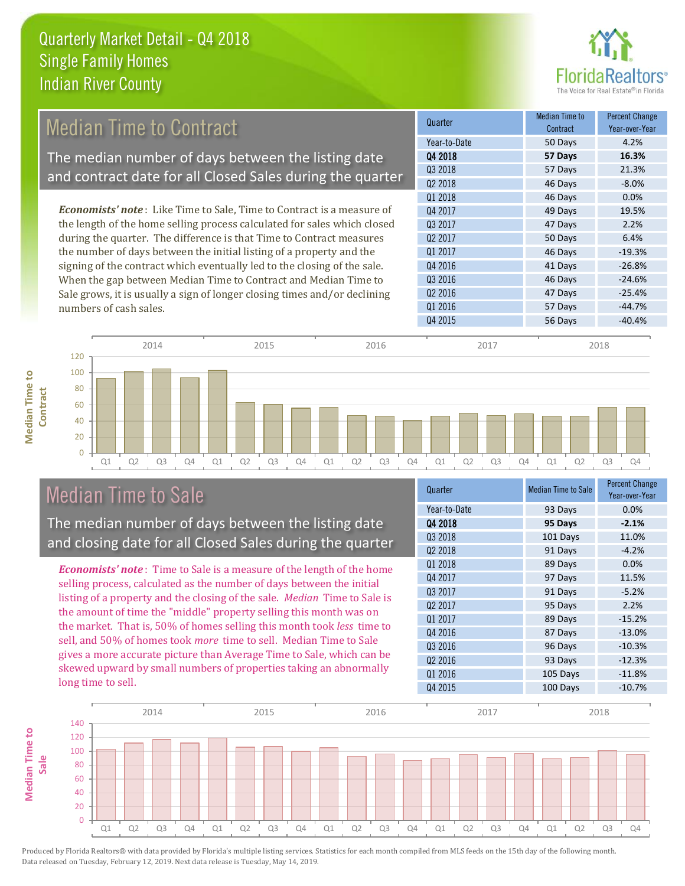

# Median Time to Contract

The median number of days between the listing date and contract date for all Closed Sales during the quarter

*Economists' note* : Like Time to Sale, Time to Contract is a measure of the length of the home selling process calculated for sales which closed during the quarter. The difference is that Time to Contract measures the number of days between the initial listing of a property and the signing of the contract which eventually led to the closing of the sale. When the gap between Median Time to Contract and Median Time to Sale grows, it is usually a sign of longer closing times and/or declining numbers of cash sales.

| Quarter             | <b>Median Time to</b><br>Contract | <b>Percent Change</b><br>Year-over-Year |
|---------------------|-----------------------------------|-----------------------------------------|
| Year-to-Date        | 50 Days                           | 4.2%                                    |
| 04 2018             | 57 Days                           | 16.3%                                   |
| 03 2018             | 57 Days                           | 21.3%                                   |
| Q <sub>2</sub> 2018 | 46 Days                           | $-8.0%$                                 |
| Q1 2018             | 46 Days                           | 0.0%                                    |
| Q4 2017             | 49 Days                           | 19.5%                                   |
| 03 2017             | 47 Days                           | 2.2%                                    |
| Q <sub>2</sub> 2017 | 50 Days                           | 6.4%                                    |
| 01 2017             | 46 Days                           | $-19.3%$                                |
| Q4 2016             | 41 Days                           | $-26.8%$                                |
| Q3 2016             | 46 Days                           | $-24.6%$                                |
| Q <sub>2</sub> 2016 | 47 Days                           | $-25.4%$                                |
| Q1 2016             | 57 Days                           | $-44.7%$                                |
| Q4 2015             | 56 Days                           | $-40.4%$                                |



# Median Time to Sale

**Median Time to Contract**

**Median Time to** 

The median number of days between the listing date and closing date for all Closed Sales during the quarter

*Economists' note* : Time to Sale is a measure of the length of the home selling process, calculated as the number of days between the initial listing of a property and the closing of the sale. *Median* Time to Sale is the amount of time the "middle" property selling this month was on the market. That is, 50% of homes selling this month took *less* time to sell, and 50% of homes took *more* time to sell. Median Time to Sale gives a more accurate picture than Average Time to Sale, which can be skewed upward by small numbers of properties taking an abnormally long time to sell.

| Quarter             | <b>Median Time to Sale</b> | <b>Percent Change</b><br>Year-over-Year |
|---------------------|----------------------------|-----------------------------------------|
| Year-to-Date        | 93 Days                    | 0.0%                                    |
| Q4 2018             | 95 Days                    | $-2.1%$                                 |
| Q3 2018             | 101 Days                   | 11.0%                                   |
| Q <sub>2</sub> 2018 | 91 Days                    | $-4.2%$                                 |
| Q1 2018             | 89 Days                    | 0.0%                                    |
| Q4 2017             | 97 Days                    | 11.5%                                   |
| Q3 2017             | 91 Days                    | $-5.2%$                                 |
| Q <sub>2</sub> 2017 | 95 Days                    | 2.2%                                    |
| 01 2017             | 89 Days                    | $-15.2%$                                |
| Q4 2016             | 87 Days                    | $-13.0%$                                |
| Q3 2016             | 96 Days                    | $-10.3%$                                |
| Q <sub>2</sub> 2016 | 93 Days                    | $-12.3%$                                |
| Q1 2016             | 105 Days                   | $-11.8%$                                |
| Q4 2015             | 100 Days                   | $-10.7%$                                |
|                     |                            |                                         |

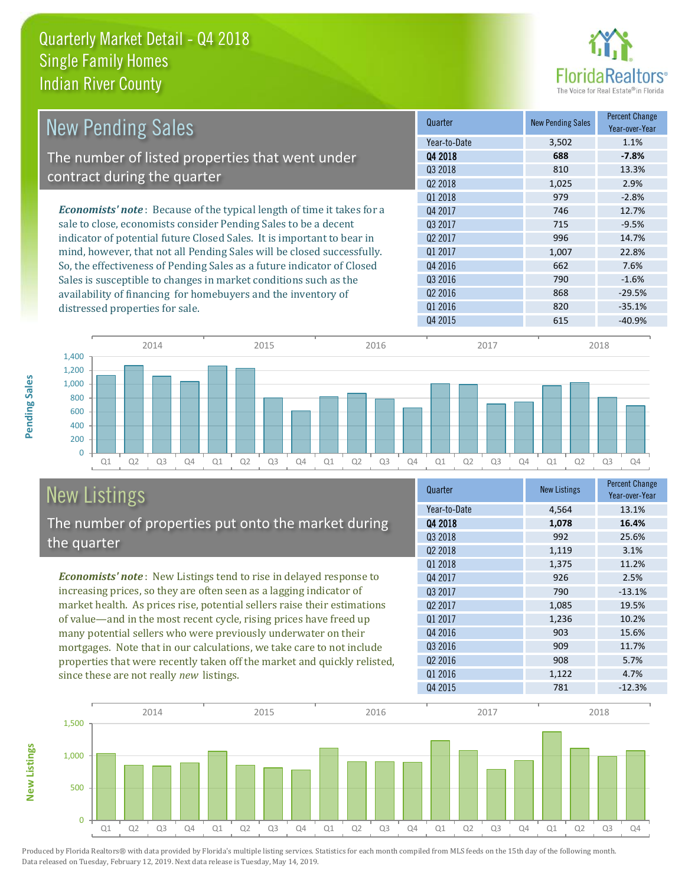

| <b>New Pending Sales</b>                                                       | Quarter             | <b>New Pending Sales</b> | <b>Percent Change</b><br>Year-over-Year |
|--------------------------------------------------------------------------------|---------------------|--------------------------|-----------------------------------------|
|                                                                                | Year-to-Date        | 3,502                    | 1.1%                                    |
| The number of listed properties that went under                                | Q4 2018             | 688                      | $-7.8%$                                 |
|                                                                                | 03 2018             | 810                      | 13.3%                                   |
| contract during the quarter                                                    | Q <sub>2</sub> 2018 | 1,025                    | 2.9%                                    |
|                                                                                | Q1 2018             | 979                      | $-2.8%$                                 |
| <b>Economists' note</b> : Because of the typical length of time it takes for a | Q4 2017             | 746                      | 12.7%                                   |
| sale to close, economists consider Pending Sales to be a decent                | Q3 2017             | 715                      | $-9.5%$                                 |
| indicator of potential future Closed Sales. It is important to bear in         | Q <sub>2</sub> 2017 | 996                      | 14.7%                                   |
| mind, however, that not all Pending Sales will be closed successfully.         | 01 2017             | 1,007                    | 22.8%                                   |
| So, the effectiveness of Pending Sales as a future indicator of Closed         | Q4 2016             | 662                      | 7.6%                                    |
| Sales is susceptible to changes in market conditions such as the               | Q3 2016             | 790                      | $-1.6%$                                 |
| availability of financing for homebuyers and the inventory of                  | Q <sub>2</sub> 2016 | 868                      | $-29.5%$                                |
| distressed properties for sale.                                                | Q1 2016             | 820                      | $-35.1%$                                |
|                                                                                | Q4 2015             | 615                      | $-40.9%$                                |



## New Listings The number of properties put onto the market during the quarter

*Economists' note* : New Listings tend to rise in delayed response to increasing prices, so they are often seen as a lagging indicator of market health. As prices rise, potential sellers raise their estimations of value—and in the most recent cycle, rising prices have freed up many potential sellers who were previously underwater on their mortgages. Note that in our calculations, we take care to not include properties that were recently taken off the market and quickly relisted, since these are not really *new* listings.

| Quarter             | <b>New Listings</b> | <b>Percent Change</b><br>Year-over-Year |
|---------------------|---------------------|-----------------------------------------|
| Year-to-Date        | 4,564               | 13.1%                                   |
| Q4 2018             | 1,078               | 16.4%                                   |
| 03 2018             | 992                 | 25.6%                                   |
| Q <sub>2</sub> 2018 | 1,119               | 3.1%                                    |
| 01 2018             | 1,375               | 11.2%                                   |
| Q4 2017             | 926                 | 2.5%                                    |
| Q3 2017             | 790                 | $-13.1%$                                |
| Q <sub>2</sub> 2017 | 1,085               | 19.5%                                   |
| Q1 2017             | 1,236               | 10.2%                                   |
| Q4 2016             | 903                 | 15.6%                                   |
| Q3 2016             | 909                 | 11.7%                                   |
| Q <sub>2</sub> 2016 | 908                 | 5.7%                                    |
| Q1 2016             | 1,122               | 4.7%                                    |
| Q4 2015             | 781                 | $-12.3%$                                |



Produced by Florida Realtors® with data provided by Florida's multiple listing services. Statistics for each month compiled from MLS feeds on the 15th day of the following month. Data released on Tuesday, February 12, 2019. Next data release is Tuesday, May 14, 2019.

**New Listings**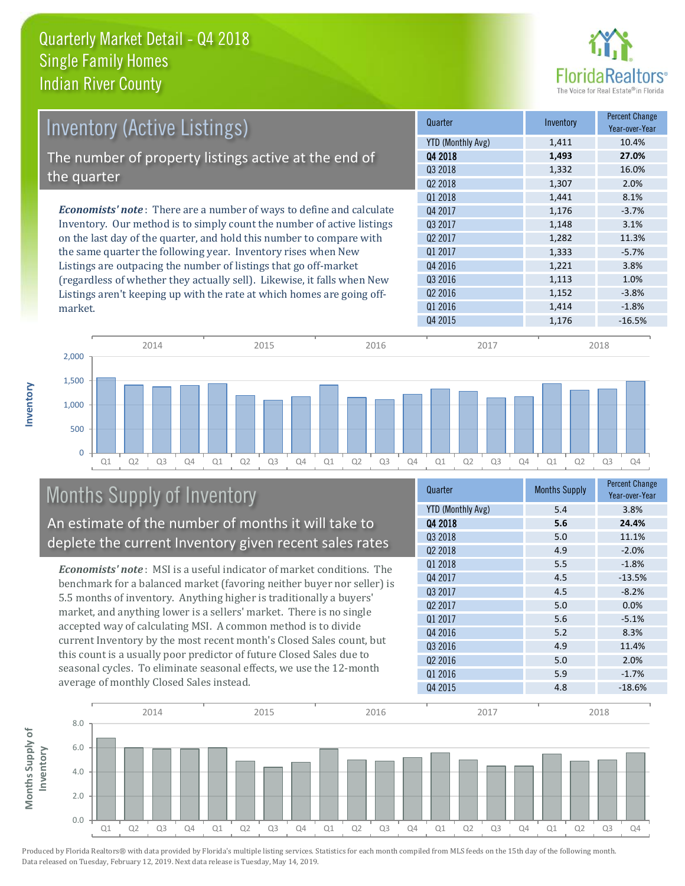

| <b>Inventory (Active Listings)</b>                                           | Quarter             | Inventory | <b>Percent Change</b><br>Year-over-Year |
|------------------------------------------------------------------------------|---------------------|-----------|-----------------------------------------|
|                                                                              | YTD (Monthly Avg)   | 1,411     | 10.4%                                   |
| The number of property listings active at the end of                         | Q4 2018             | 1,493     | 27.0%                                   |
|                                                                              | Q3 2018             | 1,332     | 16.0%                                   |
| the quarter                                                                  | Q <sub>2</sub> 2018 | 1,307     | 2.0%                                    |
|                                                                              | 01 2018             | 1,441     | 8.1%                                    |
| <b>Economists' note</b> : There are a number of ways to define and calculate | Q4 2017             | 1,176     | $-3.7%$                                 |
| Inventory. Our method is to simply count the number of active listings       | 03 2017             | 1,148     | 3.1%                                    |
| on the last day of the quarter, and hold this number to compare with         | Q <sub>2</sub> 2017 | 1,282     | 11.3%                                   |
| the same quarter the following year. Inventory rises when New                | Q1 2017             | 1,333     | $-5.7%$                                 |
| Listings are outpacing the number of listings that go off-market             | Q4 2016             | 1,221     | 3.8%                                    |
| (regardless of whether they actually sell). Likewise, it falls when New      | Q3 2016             | 1,113     | 1.0%                                    |
| Listings aren't keeping up with the rate at which homes are going off-       | Q <sub>2</sub> 2016 | 1,152     | $-3.8%$                                 |
| market.                                                                      | Q1 2016             | 1.414     | $-1.8%$                                 |



# Months Supply of Inventory An estimate of the number of months it will take to

deplete the current Inventory given recent sales rates

*Economists' note* : MSI is a useful indicator of market conditions. The benchmark for a balanced market (favoring neither buyer nor seller) is 5.5 months of inventory. Anything higher is traditionally a buyers' market, and anything lower is a sellers' market. There is no single accepted way of calculating MSI. A common method is to divide current Inventory by the most recent month's Closed Sales count, but this count is a usually poor predictor of future Closed Sales due to seasonal cycles. To eliminate seasonal effects, we use the 12-month average of monthly Closed Sales instead.

| Quarter                  | <b>Months Supply</b> | <b>Percent Change</b><br>Year-over-Year |
|--------------------------|----------------------|-----------------------------------------|
| <b>YTD (Monthly Avg)</b> | 5.4                  | 3.8%                                    |
| Q4 2018                  | 5.6                  | 24.4%                                   |
| Q3 2018                  | 5.0                  | 11.1%                                   |
| 02 2018                  | 4.9                  | $-2.0%$                                 |
| Q1 2018                  | 5.5                  | $-1.8%$                                 |
| Q4 2017                  | 4.5                  | $-13.5%$                                |
| Q3 2017                  | 4.5                  | $-8.2%$                                 |
| 02 2017                  | 5.0                  | 0.0%                                    |
| Q1 2017                  | 5.6                  | $-5.1%$                                 |
| 04 2016                  | 5.2                  | 8.3%                                    |
| Q3 2016                  | 4.9                  | 11.4%                                   |
| Q <sub>2</sub> 2016      | 5.0                  | 2.0%                                    |
| Q1 2016                  | 5.9                  | $-1.7%$                                 |
| Q4 2015                  | 4.8                  | $-18.6%$                                |

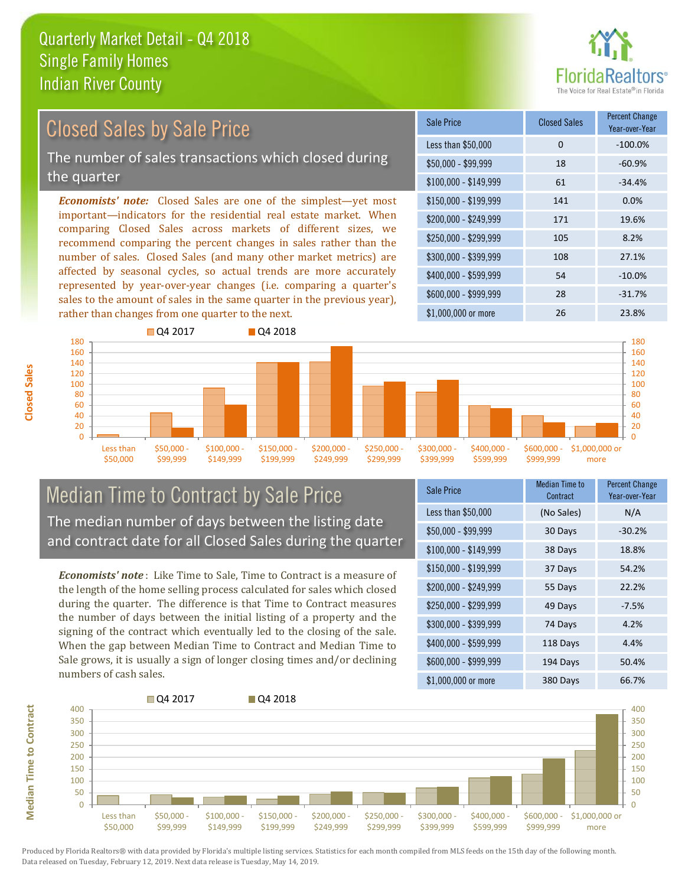

#### *Economists' note:* Closed Sales are one of the simplest—yet most important—indicators for the residential real estate market. When comparing Closed Sales across markets of different sizes, we recommend comparing the percent changes in sales rather than the Closed Sales by Sale Price The number of sales transactions which closed during the quarter

number of sales. Closed Sales (and many other market metrics) are affected by seasonal cycles, so actual trends are more accurately represented by year-over-year changes (i.e. comparing a quarter's sales to the amount of sales in the same quarter in the previous year), rather than changes from one quarter to the next.

| Sale Price            | <b>Closed Sales</b> | <b>Percent Change</b><br>Year-over-Year |
|-----------------------|---------------------|-----------------------------------------|
| Less than \$50,000    | 0                   | $-100.0%$                               |
| $$50,000 - $99,999$   | 18                  | $-60.9%$                                |
| $$100,000 - $149,999$ | 61                  | $-34.4%$                                |
| $$150,000 - $199,999$ | 141                 | 0.0%                                    |
| \$200,000 - \$249,999 | 171                 | 19.6%                                   |
| \$250,000 - \$299,999 | 105                 | 8.2%                                    |
| \$300,000 - \$399,999 | 108                 | 27.1%                                   |
| \$400,000 - \$599,999 | 54                  | $-10.0%$                                |
| \$600,000 - \$999,999 | 28                  | $-31.7%$                                |
| \$1,000,000 or more   | 26                  | 23.8%                                   |



## Median Time to Contract by Sale Price The median number of days between the listing date and contract date for all Closed Sales during the quarter

*Economists' note* : Like Time to Sale, Time to Contract is a measure of the length of the home selling process calculated for sales which closed during the quarter. The difference is that Time to Contract measures the number of days between the initial listing of a property and the signing of the contract which eventually led to the closing of the sale. When the gap between Median Time to Contract and Median Time to Sale grows, it is usually a sign of longer closing times and/or declining numbers of cash sales.

| Sale Price            | Median Time to<br>Contract | <b>Percent Change</b><br>Year-over-Year |
|-----------------------|----------------------------|-----------------------------------------|
| Less than \$50,000    | (No Sales)                 | N/A                                     |
| \$50,000 - \$99,999   | 30 Days                    | $-30.2%$                                |
| $$100,000 - $149,999$ | 38 Days                    | 18.8%                                   |
| $$150,000 - $199,999$ | 37 Days                    | 54.2%                                   |
| \$200,000 - \$249,999 | 55 Days                    | 22.2%                                   |
| \$250,000 - \$299,999 | 49 Days                    | $-7.5%$                                 |
| \$300,000 - \$399,999 | 74 Days                    | 4.2%                                    |
| \$400,000 - \$599,999 | 118 Days                   | 4.4%                                    |
| \$600,000 - \$999,999 | 194 Days                   | 50.4%                                   |
| \$1,000,000 or more   | 380 Days                   | 66.7%                                   |



Produced by Florida Realtors® with data provided by Florida's multiple listing services. Statistics for each month compiled from MLS feeds on the 15th day of the following month. Data released on Tuesday, February 12, 2019. Next data release is Tuesday, May 14, 2019.

**Median Time to Contract**

**Median Time to Contract**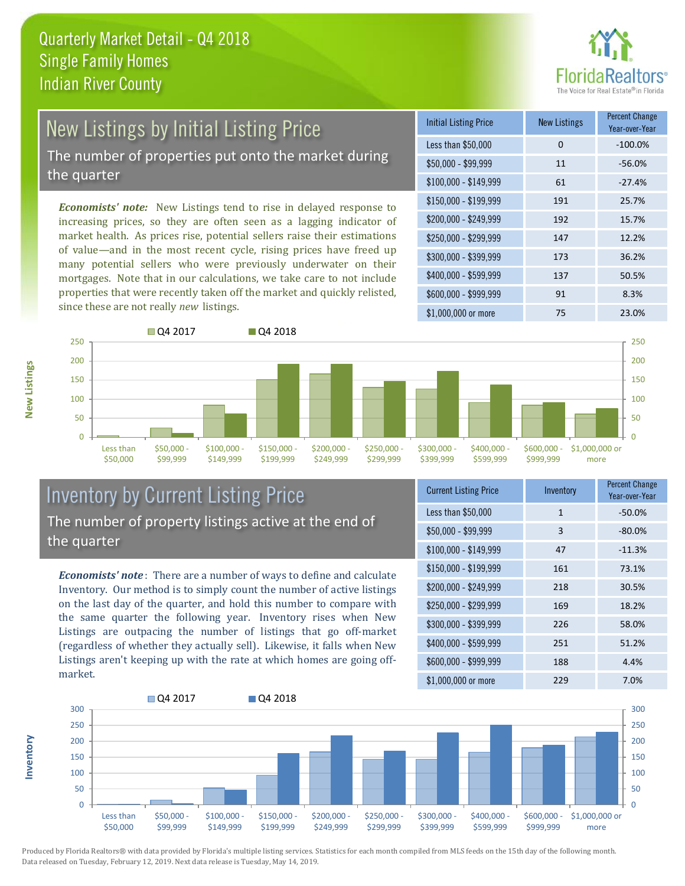

# New Listings by Initial Listing Price The number of properties put onto the market during the quarter

*Economists' note:* New Listings tend to rise in delayed response to increasing prices, so they are often seen as a lagging indicator of market health. As prices rise, potential sellers raise their estimations of value—and in the most recent cycle, rising prices have freed up many potential sellers who were previously underwater on their mortgages. Note that in our calculations, we take care to not include properties that were recently taken off the market and quickly relisted, since these are not really *new* listings.





## Inventory by Current Listing Price The number of property listings active at the end of the quarter

*Economists' note* : There are a number of ways to define and calculate Inventory. Our method is to simply count the number of active listings on the last day of the quarter, and hold this number to compare with the same quarter the following year. Inventory rises when New Listings are outpacing the number of listings that go off-market (regardless of whether they actually sell). Likewise, it falls when New Listings aren't keeping up with the rate at which homes are going offmarket.

| <b>Current Listing Price</b> | Inventory | <b>Percent Change</b><br>Year-over-Year |
|------------------------------|-----------|-----------------------------------------|
| Less than \$50,000           | 1         | $-50.0%$                                |
| $$50,000 - $99,999$          | 3         | $-80.0%$                                |
| $$100,000 - $149,999$        | 47        | $-11.3%$                                |
| $$150,000 - $199,999$        | 161       | 73.1%                                   |
| \$200,000 - \$249,999        | 218       | 30.5%                                   |
| \$250,000 - \$299,999        | 169       | 18.2%                                   |
| \$300,000 - \$399,999        | 226       | 58.0%                                   |
| $$400,000 - $599,999$        | 251       | 51.2%                                   |
| \$600,000 - \$999,999        | 188       | 4.4%                                    |
| \$1,000,000 or more          | 229       | 7.0%                                    |



Produced by Florida Realtors® with data provided by Florida's multiple listing services. Statistics for each month compiled from MLS feeds on the 15th day of the following month. Data released on Tuesday, February 12, 2019. Next data release is Tuesday, May 14, 2019.

**Inventory**